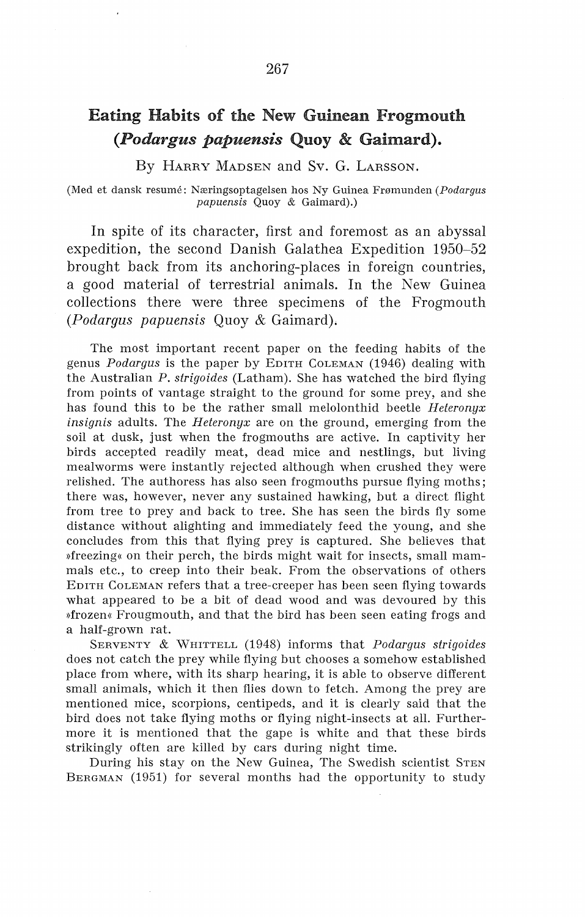## Eating Habits of the New Guinean Frogmouth *(Podargus papuensis* Quoy & Gaimard).

By HARRY MADSEN and Sv. G. LARSSON.

(Med et dansk resume: Næringsoptagelsen hos Ny Guinea Frømunden *(Podargus papuensis* Quoy & Gaimard).)

In spite of its character, first and foremost as an abyssal expedition, the second Danish Galathea Expedition 1950-52 brought back from its anchoring-places in foreign countries, a good material of terrestrial animals. In the New Guinea collections there were three specimens of the Frogmouth *(Podargus papuensis* Quoy & Gaimard).

The most important recent paper on the feeding habits of the genus *Podargus* is the paper by EDITH CoLEMAN (1946) dealing with the Australian *P. strigoides* (Latham). She has watched the bird flying from points of vantage straight to the ground for some prey, and she has found this to be the rather small melolonthid beetle *Heteronyx insignis* adults. The *Heteronyx* are on the ground, emerging from the soil at dusk, just when the frogmouths are active. In captivity her birds accepted readily meat, dead mice and nestlings, but living mealworms were instantly rejected although when crushed they were relished. The authoress has also seen frogmouths pursue flying moths; there was, however, never any sustained hawking, but a direct flight from tree to prey and back to tree. She has seen the birds fly some distance without alighting and immediately feed the young, and she concludes from this that flying prey is captured. She believes that »freezing« on their perch, the birds might wait for insects, small mammals etc., to creep into their beak. From the observations of others EDITH COLEMAN refers that a tree-creeper has been seen flying towards what appeared to be a bit of dead wood and was devoured by this »frozen« Frougmouth, and that the bird has been seen eating frogs and a half-grown rat.

SERVENTY & WHITTELL (1948) informs that *Podargus strigoides*  does not catch the prey while flying but chooses a somehow established place from where, with its sharp hearing, it is able to observe different small animals, which it then flies down to fetch. Among the prey are mentioned mice, scorpions, centipeds, and it is clearly said that the bird does not take flying moths or flying night-insects at all. Furthermore it is mentioned that the gape is white and that these birds strikingly often are killed by cars during night time.

During his stay on the New Guinea, The Swedish scientist STEN BERGMAN (1951) for several months had the opportunity to study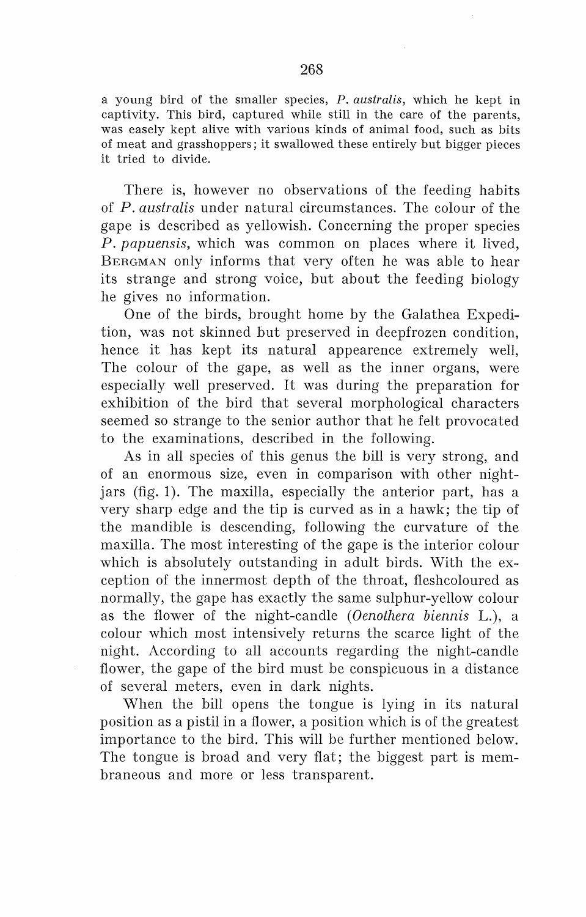a young hird of the srnaller species, P. *australis,* which he kept in captivity. This hird, captured while still in the care of the parents, was easely kept alive with various kinds of animal food, such as bits of rneat and grasshoppers; it swallowed these entirely but bigger pieces it tried to divide.

There is, however no observations of the feeding habits of *P. australis* under natural circumstances. The colour of the gape is described as yellowish. Concerning the proper species *P. papuensis,* which was common on places where it lived, BERGMAN only informs that very often he was able to hear its strange and strong voice, but about the feeding biology he gives no information.

One of the hirds, brought home by the Galathea Expedition, was not skinned but preserved in deepfrozen condition, hence it has kept its natural appearence extremely well, The colour of the gape, as well as the inner organs, were especially well preserved. It was during the preparation for exhibition of the bird that several morphological characters seemed so strange to the senior author that he felt provocated to the examinations, described in the following.

As in all species of this genus the bill is very strong, and of an enormous size, even in comparison with other nightjars (fig. 1). The maxilla, especially the anterior part, has a very sharp edge and the tip is curved as in a hawk; the tip of the mandible is descending, following the curvature of the maxilla. The most interesting of the gape is the interior colour which is absolutely outstanding in adult birds. With the exception of the innermost depth of the throat, fleshcoloured as normally, the gape has exactly the same sulphur-yellow colour as the flower of the night-candle *(Oenothera biennis* L.), a colour which most intensively returns the scarce light of the night. According to all accounts regarding the night-candle flower, the gape of the bird must be conspicuous in a distance of several meters, even in dark nights.

When the bill opens the tongue is lying in its natural position as a pistil in a flower, a position which is of the greatest importance to the bird. This will be further mentioned below. The tongue is broad and very flat; the biggest part is membraneous and more or less transparent.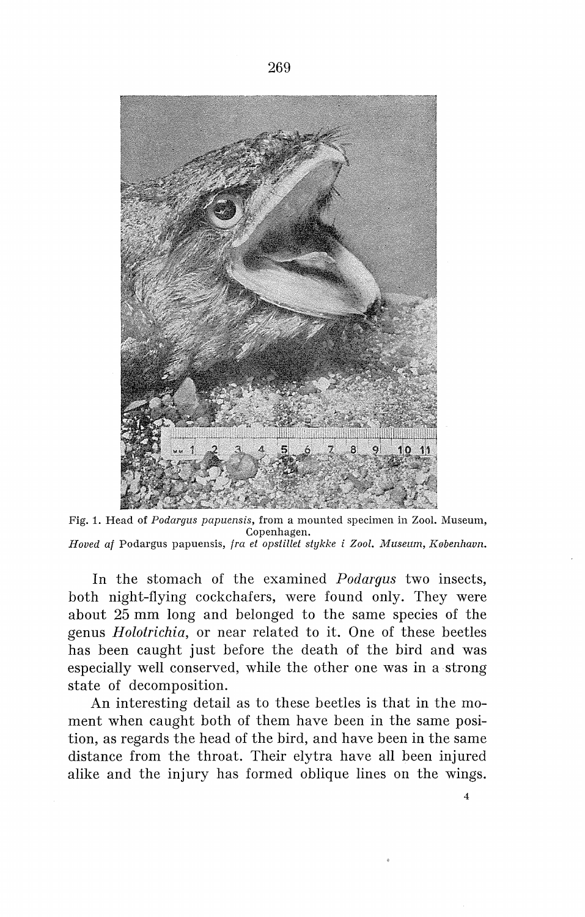

Fig. 1. Head of *Podargus papuensis,* from a mounted specimen in Zool. Museum, Copenhagen. *Hoved af Podargus papuensis, fra et opstillet stykke i Zool. Museum, København.* 

In the stomach of the examined *Podargus* two insects, both night-flying cockchafers, were found only. They were about 25 mm long and belonged to the same species of the genus *Holotrichia,* or near related to it. One of these beetles has been caught just before the death of the bird and was especially well conserved, while the other one was in a strong state of decomposition.

An interesting detail as to these beetles is that in the moment when caught both of them have been in the same position, as regards the head of the bird, and have been in the same distance from the throat. Their elytra have all been injured alike and the injury has formed oblique lines on the wings.

4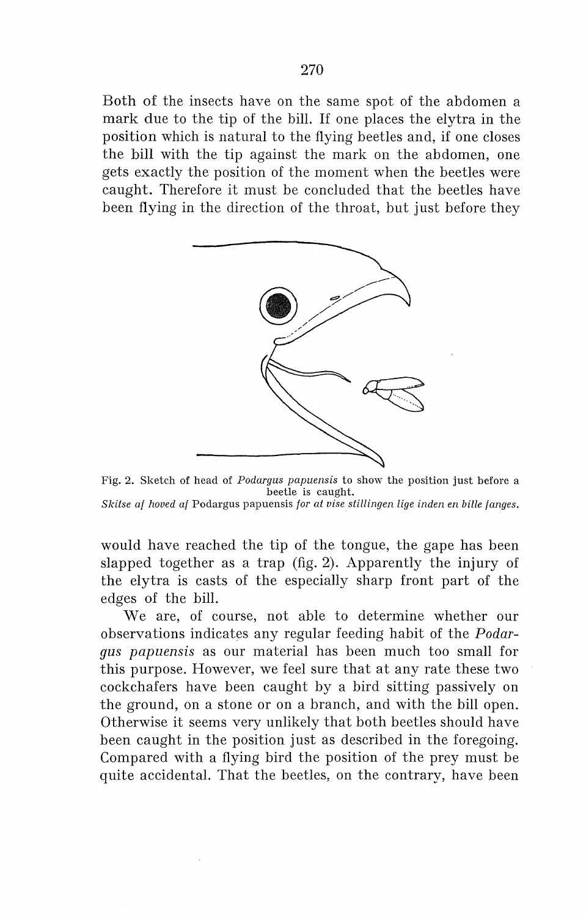Both of the insects have on the same spot of the abdomen a mark due to the tip of the bill. If one places the elytra in the position which is natura! to the flying beetles and, if one closes the bill with the tip against the mark on the abdomen, one gets exactly the position of the moment when the beetles were caught. Therefore it must be concluded that the beetles have been flying in the direction of the throat, but just before they



Fig. 2. Sketch of head of *Podargus papuensis* to show the position just before a beetle is caught. *Skitse af hoved af* Podargus papuensis *for at vise stillingen lige inden en bille fanges.* 

would have reached the tip of the tongue, the gape has been slapped together as a trap (fig. 2). Apparently the injury of the elytra is casts of the especially sharp front part of the edges of the bill.

We are, of course, not able to determine whether our observations indicates any regular feeding habit of the *Podargus papuensis* as our material has been much too small for this purpose. However, we feel sure that at any rate these two cockchafers have been caught by a bird sitting passively on the ground, on a stone or on a branch, and with the bill open. Otherwise it seems very unlikely that both beetles should have been caught in the position just as described in the foregoing. Compared with a flying bird the position of the prey must be quite accidental. That the beetles, on the contrary, have been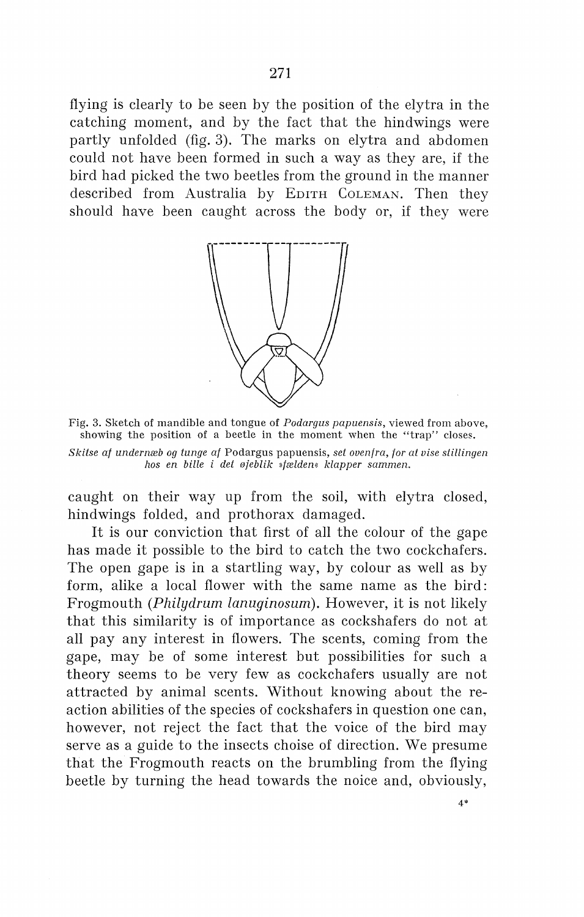flying is clearly to be seen by the position of the elytra in the catching moment, and by the faet that the hindwings were partly unfolded (fig. 3). The marks on elytra and abdomen could not have been formed in such a way as they are, if the bird had picked the two beetles from the ground in the manner described from Australia by EDITH COLEMAN. Then they should have been caught across the body or, if they were



Fig. 3. Sketch of mandible and tongue of *Podargus papuensis,* viewed from above, showing the position of a beetle in the moment when the "trap" closes.

*Skitse af undernæb og tunge af* Podargus papuensis, *set ovenfra, for at vise stillingen hos en bille i det øjeblik »fælden« klapper sammen.* 

caught on their way up from the soil, with elytra closed, hindwings folded, and prothorax damaged.

It is our conviction that first of all the colour of the gape has made it possible to the bird to catch the two cockchafers. The open gape is in a startling way, by colour as well as by form, alike a local flower with the same name as the bird: Frogmouth *(Philydrum lanuginosum).* However, it is not likely that this similarity is of importance as cockshafers do not at all pay any interest in flowers. The scents, coming from the gape, may be of some interest but possibilities for such a theory seems to be very few as cockchafers usually are not attracted by animal scents. Without knowing about the reaction abilities of the species of cockshafers in question one can, however, not reject the faet that the voice of the bird may serve as a guide to the insects choise of direction. We presume that the Frogmouth reacts on the brumbling from the flying beetle by turning the head towards the noice and, obviously,